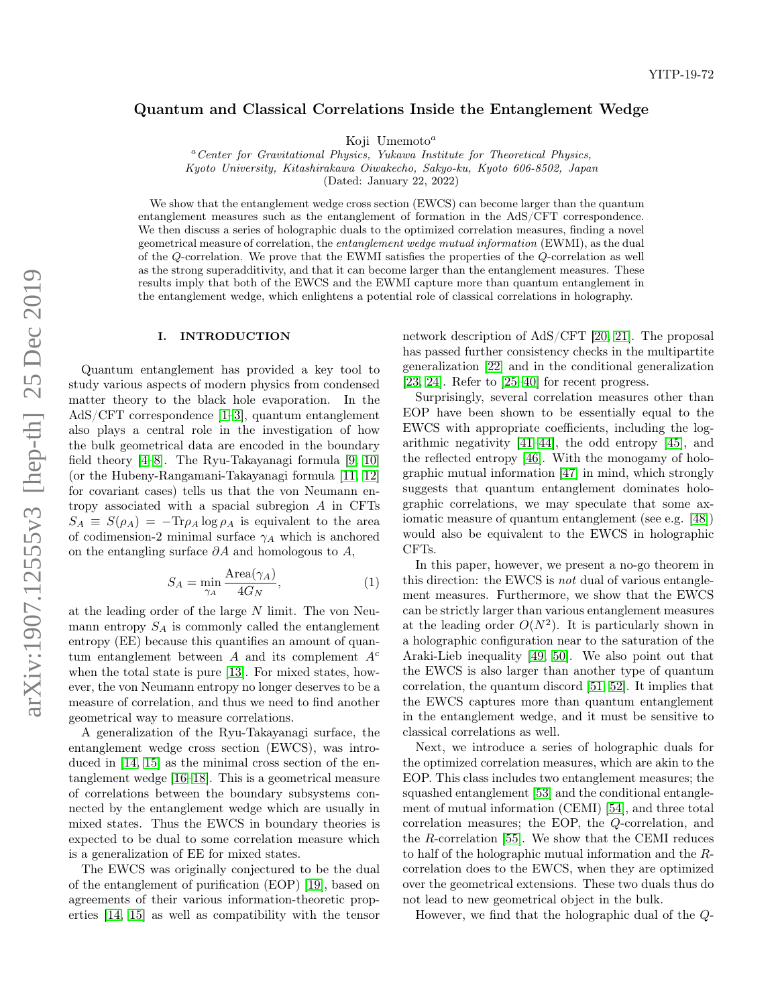# Quantum and Classical Correlations Inside the Entanglement Wedge

Koji Umemoto $^a$ 

 ${}^a$ Center for Gravitational Physics, Yukawa Institute for Theoretical Physics, Kyoto University, Kitashirakawa Oiwakecho, Sakyo-ku, Kyoto 606-8502, Japan

(Dated: January 22, 2022)

We show that the entanglement wedge cross section (EWCS) can become larger than the quantum entanglement measures such as the entanglement of formation in the AdS/CFT correspondence. We then discuss a series of holographic duals to the optimized correlation measures, finding a novel geometrical measure of correlation, the entanglement wedge mutual information (EWMI), as the dual of the Q-correlation. We prove that the EWMI satisfies the properties of the Q-correlation as well as the strong superadditivity, and that it can become larger than the entanglement measures. These results imply that both of the EWCS and the EWMI capture more than quantum entanglement in the entanglement wedge, which enlightens a potential role of classical correlations in holography.

### I. INTRODUCTION

Quantum entanglement has provided a key tool to study various aspects of modern physics from condensed matter theory to the black hole evaporation. In the AdS/CFT correspondence [\[1](#page-10-0)[–3\]](#page-10-1), quantum entanglement also plays a central role in the investigation of how the bulk geometrical data are encoded in the boundary field theory [\[4](#page-10-2)[–8\]](#page-10-3). The Ryu-Takayanagi formula [\[9,](#page-10-4) [10\]](#page-10-5) (or the Hubeny-Rangamani-Takayanagi formula [\[11,](#page-10-6) [12\]](#page-10-7) for covariant cases) tells us that the von Neumann entropy associated with a spacial subregion A in CFTs  $S_A \equiv S(\rho_A) = -\text{Tr}\rho_A \log \rho_A$  is equivalent to the area of codimension-2 minimal surface  $\gamma_A$  which is anchored on the entangling surface  $\partial A$  and homologous to  $A$ ,

<span id="page-0-0"></span>
$$
S_A = \min_{\gamma_A} \frac{\text{Area}(\gamma_A)}{4G_N},\tag{1}
$$

at the leading order of the large N limit. The von Neumann entropy  $S_A$  is commonly called the entanglement entropy (EE) because this quantifies an amount of quantum entanglement between A and its complement  $A<sup>c</sup>$ when the total state is pure [\[13\]](#page-10-8). For mixed states, however, the von Neumann entropy no longer deserves to be a measure of correlation, and thus we need to find another geometrical way to measure correlations.

A generalization of the Ryu-Takayanagi surface, the entanglement wedge cross section (EWCS), was introduced in [\[14,](#page-10-9) [15\]](#page-11-0) as the minimal cross section of the entanglement wedge [\[16–](#page-11-1)[18\]](#page-11-2). This is a geometrical measure of correlations between the boundary subsystems connected by the entanglement wedge which are usually in mixed states. Thus the EWCS in boundary theories is expected to be dual to some correlation measure which is a generalization of EE for mixed states.

The EWCS was originally conjectured to be the dual of the entanglement of purification (EOP) [\[19\]](#page-11-3), based on agreements of their various information-theoretic properties [\[14,](#page-10-9) [15\]](#page-11-0) as well as compatibility with the tensor

network description of AdS/CFT [\[20,](#page-11-4) [21\]](#page-11-5). The proposal has passed further consistency checks in the multipartite generalization [\[22\]](#page-11-6) and in the conditional generalization [\[23,](#page-11-7) [24\]](#page-11-8). Refer to [\[25–](#page-11-9)[40\]](#page-11-10) for recent progress.

Surprisingly, several correlation measures other than EOP have been shown to be essentially equal to the EWCS with appropriate coefficients, including the logarithmic negativity [\[41](#page-11-11)[–44\]](#page-11-12), the odd entropy [\[45\]](#page-11-13), and the reflected entropy [\[46\]](#page-11-14). With the monogamy of holographic mutual information [\[47\]](#page-11-15) in mind, which strongly suggests that quantum entanglement dominates holographic correlations, we may speculate that some axiomatic measure of quantum entanglement (see e.g. [\[48\]](#page-11-16)) would also be equivalent to the EWCS in holographic CFTs.

In this paper, however, we present a no-go theorem in this direction: the EWCS is not dual of various entanglement measures. Furthermore, we show that the EWCS can be strictly larger than various entanglement measures at the leading order  $O(N^2)$ . It is particularly shown in a holographic configuration near to the saturation of the Araki-Lieb inequality [\[49,](#page-11-17) [50\]](#page-11-18). We also point out that the EWCS is also larger than another type of quantum correlation, the quantum discord [\[51,](#page-11-19) [52\]](#page-11-20). It implies that the EWCS captures more than quantum entanglement in the entanglement wedge, and it must be sensitive to classical correlations as well.

Next, we introduce a series of holographic duals for the optimized correlation measures, which are akin to the EOP. This class includes two entanglement measures; the squashed entanglement [\[53\]](#page-11-21) and the conditional entanglement of mutual information (CEMI) [\[54\]](#page-11-22), and three total correlation measures; the EOP, the Q-correlation, and the R-correlation [\[55\]](#page-11-23). We show that the CEMI reduces to half of the holographic mutual information and the Rcorrelation does to the EWCS, when they are optimized over the geometrical extensions. These two duals thus do not lead to new geometrical object in the bulk.

However, we find that the holographic dual of the Q-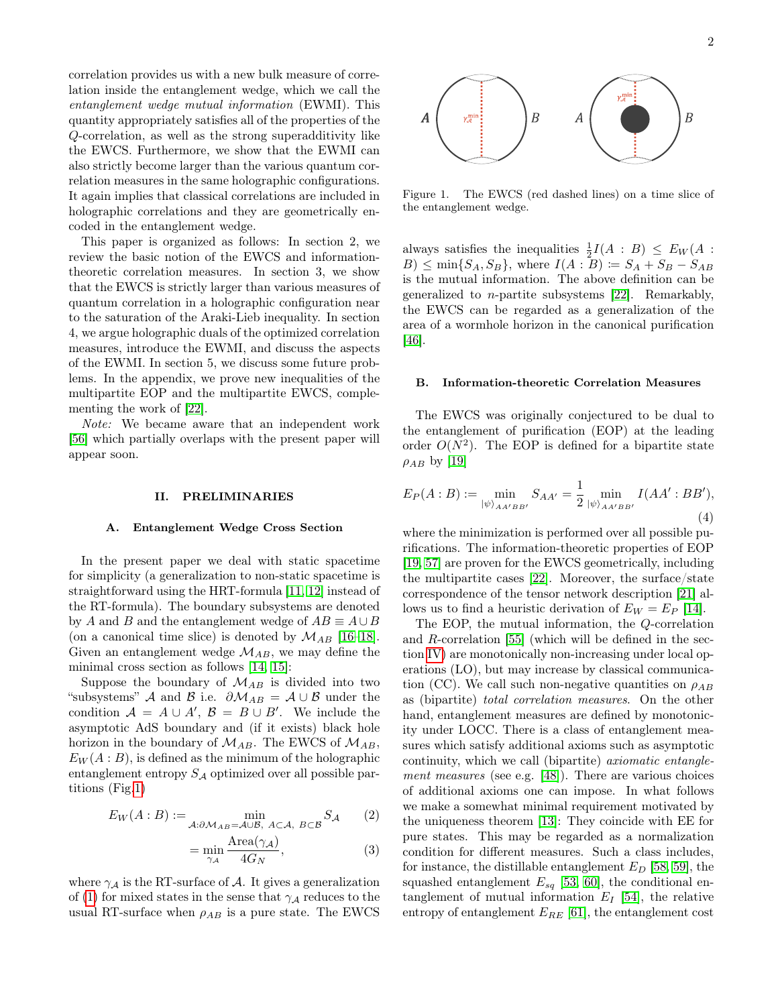correlation provides us with a new bulk measure of correlation inside the entanglement wedge, which we call the entanglement wedge mutual information (EWMI). This quantity appropriately satisfies all of the properties of the Q-correlation, as well as the strong superadditivity like the EWCS. Furthermore, we show that the EWMI can also strictly become larger than the various quantum correlation measures in the same holographic configurations. It again implies that classical correlations are included in holographic correlations and they are geometrically encoded in the entanglement wedge.

This paper is organized as follows: In section 2, we review the basic notion of the EWCS and informationtheoretic correlation measures. In section 3, we show that the EWCS is strictly larger than various measures of quantum correlation in a holographic configuration near to the saturation of the Araki-Lieb inequality. In section 4, we argue holographic duals of the optimized correlation measures, introduce the EWMI, and discuss the aspects of the EWMI. In section 5, we discuss some future problems. In the appendix, we prove new inequalities of the multipartite EOP and the multipartite EWCS, complementing the work of [\[22\]](#page-11-6).

Note: We became aware that an independent work [\[56\]](#page-11-24) which partially overlaps with the present paper will appear soon.

### II. PRELIMINARIES

### A. Entanglement Wedge Cross Section

In the present paper we deal with static spacetime for simplicity (a generalization to non-static spacetime is straightforward using the HRT-formula [\[11,](#page-10-6) [12\]](#page-10-7) instead of the RT-formula). The boundary subsystems are denoted by A and B and the entanglement wedge of  $AB \equiv A \cup B$ (on a canonical time slice) is denoted by  $\mathcal{M}_{AB}$  [\[16–](#page-11-1)[18\]](#page-11-2). Given an entanglement wedge  $\mathcal{M}_{AB}$ , we may define the minimal cross section as follows [\[14,](#page-10-9) [15\]](#page-11-0):

Suppose the boundary of  $\mathcal{M}_{AB}$  is divided into two "subsystems" A and B i.e.  $\partial \mathcal{M}_{AB} = \mathcal{A} \cup \mathcal{B}$  under the condition  $A = A \cup A', B = B \cup B'$ . We include the asymptotic AdS boundary and (if it exists) black hole horizon in the boundary of  $\mathcal{M}_{AB}$ . The EWCS of  $\mathcal{M}_{AB}$ ,  $E_W(A:B)$ , is defined as the minimum of the holographic entanglement entropy  $S_A$  optimized over all possible partitions (Fig[.1\)](#page-1-0)

$$
E_W(A:B) := \min_{A:\partial \mathcal{M}_{AB} = A\cup B, A\subset A, B\subset B} S_A \qquad (2)
$$

<span id="page-1-1"></span>
$$
= \min_{\gamma_A} \frac{\text{Area}(\gamma_A)}{4G_N},\tag{3}
$$

where  $\gamma_A$  is the RT-surface of A. It gives a generalization of [\(1\)](#page-0-0) for mixed states in the sense that  $\gamma_A$  reduces to the usual RT-surface when  $\rho_{AB}$  is a pure state. The EWCS



<span id="page-1-0"></span>Figure 1. The EWCS (red dashed lines) on a time slice of the entanglement wedge.

always satisfies the inequalities  $\frac{1}{2}I(A : B) \leq E_W(A)$ :  $B) \leq \min\{S_A, S_B\}$ , where  $I(A : B) \coloneqq S_A + S_B - S_{AB}$ is the mutual information. The above definition can be generalized to n-partite subsystems [\[22\]](#page-11-6). Remarkably, the EWCS can be regarded as a generalization of the area of a wormhole horizon in the canonical purification [\[46\]](#page-11-14).

# B. Information-theoretic Correlation Measures

The EWCS was originally conjectured to be dual to the entanglement of purification (EOP) at the leading order  $O(N^2)$ . The EOP is defined for a bipartite state  $\rho_{AB}$  by [\[19\]](#page-11-3)

<span id="page-1-2"></span>
$$
E_P(A:B) := \min_{|\psi\rangle_{AA'BB'}} S_{AA'} = \frac{1}{2} \min_{|\psi\rangle_{AA'BB'}} I(AA':BB'),
$$
\n(4)

where the minimization is performed over all possible purifications. The information-theoretic properties of EOP [\[19,](#page-11-3) [57\]](#page-11-25) are proven for the EWCS geometrically, including the multipartite cases [\[22\]](#page-11-6). Moreover, the surface/state correspondence of the tensor network description [\[21\]](#page-11-5) allows us to find a heuristic derivation of  $E_W = E_P$  [\[14\]](#page-10-9).

The EOP, the mutual information, the Q-correlation and R-correlation [\[55\]](#page-11-23) (which will be defined in the section [IV\)](#page-4-0) are monotonically non-increasing under local operations (LO), but may increase by classical communication (CC). We call such non-negative quantities on  $\rho_{AB}$ as (bipartite) total correlation measures. On the other hand, entanglement measures are defined by monotonicity under LOCC. There is a class of entanglement measures which satisfy additional axioms such as asymptotic continuity, which we call (bipartite) axiomatic entanglement measures (see e.g. [\[48\]](#page-11-16)). There are various choices of additional axioms one can impose. In what follows we make a somewhat minimal requirement motivated by the uniqueness theorem [\[13\]](#page-10-8): They coincide with EE for pure states. This may be regarded as a normalization condition for different measures. Such a class includes, for instance, the distillable entanglement  $E_D$  [\[58,](#page-12-0) [59\]](#page-12-1), the squashed entanglement  $E_{sq}$  [\[53,](#page-11-21) [60\]](#page-12-2), the conditional entanglement of mutual information  $E_I$  [\[54\]](#page-11-22), the relative entropy of entanglement  $E_{RE}$  [\[61\]](#page-12-3), the entanglement cost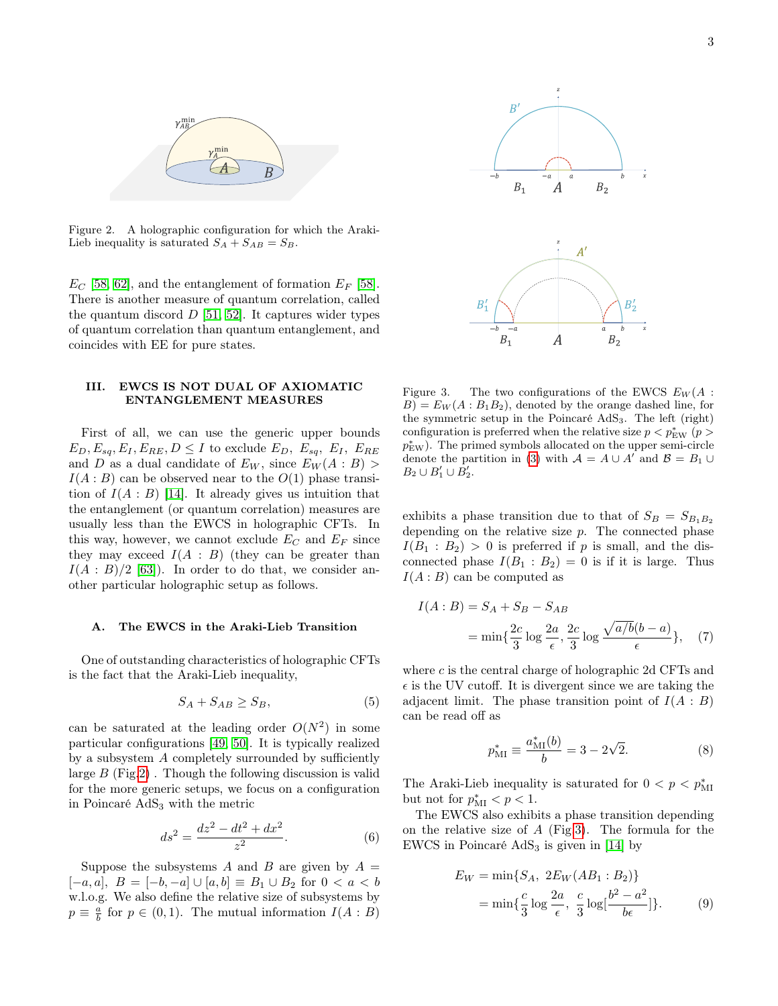

<span id="page-2-0"></span>Figure 2. A holographic configuration for which the Araki-Lieb inequality is saturated  $S_A + S_{AB} = S_B$ .

 $E_C$  [\[58,](#page-12-0) [62\]](#page-12-4), and the entanglement of formation  $E_F$  [\[58\]](#page-12-0). There is another measure of quantum correlation, called the quantum discord  $D$  [\[51,](#page-11-19) [52\]](#page-11-20). It captures wider types of quantum correlation than quantum entanglement, and coincides with EE for pure states.

# III. EWCS IS NOT DUAL OF AXIOMATIC ENTANGLEMENT MEASURES

First of all, we can use the generic upper bounds  $E_D, E_{sa}, E_I, E_{RE}, D \leq I$  to exclude  $E_D, E_{sa}, E_I, E_{RE}$ and D as a dual candidate of  $E_W$ , since  $E_W(A : B)$  $I(A : B)$  can be observed near to the  $O(1)$  phase transition of  $I(A : B)$  [\[14\]](#page-10-9). It already gives us intuition that the entanglement (or quantum correlation) measures are usually less than the EWCS in holographic CFTs. In this way, however, we cannot exclude  $E_C$  and  $E_F$  since they may exceed  $I(A : B)$  (they can be greater than  $I(A : B)/2$  [\[63\]](#page-12-5)). In order to do that, we consider another particular holographic setup as follows.

### <span id="page-2-2"></span>A. The EWCS in the Araki-Lieb Transition

One of outstanding characteristics of holographic CFTs is the fact that the Araki-Lieb inequality,

$$
S_A + S_{AB} \ge S_B,\tag{5}
$$

can be saturated at the leading order  $O(N^2)$  in some particular configurations [\[49,](#page-11-17) [50\]](#page-11-18). It is typically realized by a subsystem A completely surrounded by sufficiently large  $B$  (Fig[.2\)](#page-2-0). Though the following discussion is valid for the more generic setups, we focus on a configuration in Poincaré AdS<sup>3</sup> with the metric

$$
ds^2 = \frac{dz^2 - dt^2 + dx^2}{z^2}.
$$
 (6)

Suppose the subsystems A and B are given by  $A =$ [-a, a],  $B = [-b, -a] \cup [a, b] \equiv B_1 \cup B_2$  for 0 < a < b w.l.o.g. We also define the relative size of subsystems by  $p \equiv \frac{a}{b}$  for  $p \in (0,1)$ . The mutual information  $I(A : B)$ 



<span id="page-2-1"></span>Figure 3. The two configurations of the EWCS  $E_W(A)$ :  $B = E_W(A : B_1 B_2)$ , denoted by the orange dashed line, for the symmetric setup in the Poincaré AdS3. The left (right) configuration is preferred when the relative size  $p < p_{\text{EW}}^*$  ( $p >$  $p_{\text{EW}}^*$ ). The primed symbols allocated on the upper semi-circle denote the partition in [\(3\)](#page-1-1) with  $\mathcal{A} = A \cup A'$  and  $\mathcal{B} = B_1 \cup$  $B_2 \cup B'_1 \cup B'_2.$ 

exhibits a phase transition due to that of  $S_B = S_{B_1B_2}$ depending on the relative size  $p$ . The connected phase  $I(B_1 : B_2) > 0$  is preferred if p is small, and the disconnected phase  $I(B_1 : B_2) = 0$  is if it is large. Thus  $I(A:B)$  can be computed as

$$
I(A:B) = S_A + S_B - S_{AB}
$$
  
= 
$$
\min\left\{\frac{2c}{3}\log\frac{2a}{\epsilon}, \frac{2c}{3}\log\frac{\sqrt{a/b}(b-a)}{\epsilon}\right\},
$$
 (7)

where  $c$  is the central charge of holographic 2d CFTs and  $\epsilon$  is the UV cutoff. It is divergent since we are taking the adjacent limit. The phase transition point of  $I(A : B)$ can be read off as

$$
p_{\rm MI}^* \equiv \frac{a_{\rm MI}^*(b)}{b} = 3 - 2\sqrt{2}.
$$
 (8)

The Araki-Lieb inequality is saturated for  $0 < p < p_{\text{MI}}^*$ but not for  $p_{\text{MI}}^* < p < 1$ .

The EWCS also exhibits a phase transition depending on the relative size of  $A$  (Fig[.3\)](#page-2-1). The formula for the EWCS in Poincaré  $AdS_3$  is given in [\[14\]](#page-10-9) by

$$
E_W = \min\{S_A, 2E_W(AB_1 : B_2)\}\
$$
  
= 
$$
\min\{\frac{c}{3}\log\frac{2a}{\epsilon}, \frac{c}{3}\log[\frac{b^2 - a^2}{b\epsilon}]\}.
$$
 (9)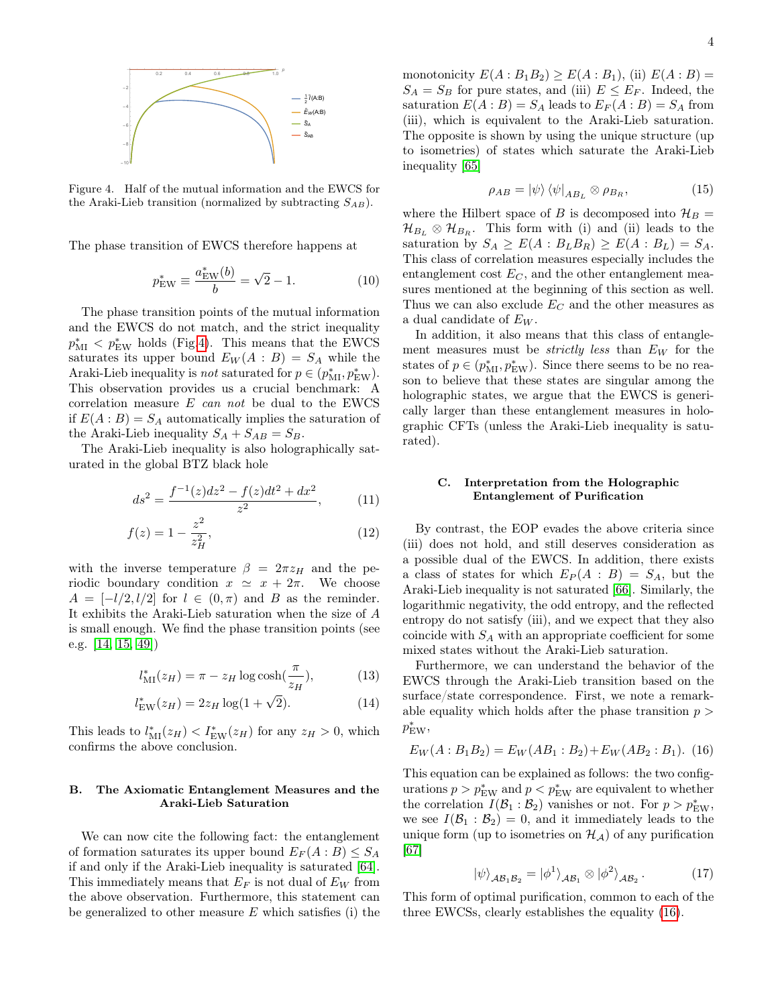

<span id="page-3-0"></span>Figure 4. Half of the mutual information and the EWCS for the Araki-Lieb transition (normalized by subtracting  $S_{AB}$ ).

The phase transition of EWCS therefore happens at

$$
p_{\text{EW}}^* \equiv \frac{a_{\text{EW}}^*(b)}{b} = \sqrt{2} - 1. \tag{10}
$$

The phase transition points of the mutual information and the EWCS do not match, and the strict inequality  $p_{\text{MI}}^* < p_{\text{EW}}^*$  holds (Fig[.4\)](#page-3-0). This means that the EWCS saturates its upper bound  $E_W(A : B) = S_A$  while the Araki-Lieb inequality is *not* saturated for  $p \in (p_{\text{MI}}^*, p_{\text{EW}}^*)$ . This observation provides us a crucial benchmark: A correlation measure  $E$  can not be dual to the EWCS if  $E(A:B) = S_A$  automatically implies the saturation of the Araki-Lieb inequality  $S_A + S_{AB} = S_B$ .

The Araki-Lieb inequality is also holographically saturated in the global BTZ black hole

$$
ds^{2} = \frac{f^{-1}(z)dz^{2} - f(z)dt^{2} + dx^{2}}{z^{2}},
$$
 (11)

$$
f(z) = 1 - \frac{z^2}{z_H^2},\tag{12}
$$

with the inverse temperature  $\beta = 2\pi z_H$  and the periodic boundary condition  $x \approx x + 2\pi$ . We choose  $A = \{-l/2, l/2\}$  for  $l \in (0, \pi)$  and B as the reminder. It exhibits the Araki-Lieb saturation when the size of A is small enough. We find the phase transition points (see e.g. [\[14,](#page-10-9) [15,](#page-11-0) [49\]](#page-11-17))

$$
l_{\text{MI}}^*(z_H) = \pi - z_H \log \cosh(\frac{\pi}{z_H}),\tag{13}
$$

$$
l_{\text{EW}}^*(z_H) = 2z_H \log(1 + \sqrt{2}).\tag{14}
$$

This leads to  $l_{\text{MI}}^*(z_H) < I_{\text{EW}}^*(z_H)$  for any  $z_H > 0$ , which confirms the above conclusion.

### B. The Axiomatic Entanglement Measures and the Araki-Lieb Saturation

We can now cite the following fact: the entanglement of formation saturates its upper bound  $E_F(A:B) \leq S_A$ if and only if the Araki-Lieb inequality is saturated [\[64\]](#page-12-6). This immediately means that  $E_F$  is not dual of  $E_W$  from the above observation. Furthermore, this statement can be generalized to other measure  $E$  which satisfies (i) the

monotonicity  $E(A:B_1B_2) \geq E(A:B_1)$ , (ii)  $E(A:B)$  =  $S_A = S_B$  for pure states, and (iii)  $E \leq E_F$ . Indeed, the saturation  $E(A : B) = S_A$  leads to  $E_F(A : B) = S_A$  from (iii), which is equivalent to the Araki-Lieb saturation. The opposite is shown by using the unique structure (up to isometries) of states which saturate the Araki-Lieb inequality [\[65\]](#page-12-7)

<span id="page-3-3"></span>
$$
\rho_{AB} = |\psi\rangle \langle \psi|_{AB_L} \otimes \rho_{B_R}, \tag{15}
$$

where the Hilbert space of B is decomposed into  $\mathcal{H}_B =$  $\mathcal{H}_{B_L} \otimes \mathcal{H}_{B_R}$ . This form with (i) and (ii) leads to the saturation by  $S_A \geq E(A : B_L B_R) \geq E(A : B_L) = S_A$ . This class of correlation measures especially includes the entanglement cost  $E_C$ , and the other entanglement measures mentioned at the beginning of this section as well. Thus we can also exclude  $E_C$  and the other measures as a dual candidate of  $E_W$ .

In addition, it also means that this class of entanglement measures must be *strictly less* than  $E_W$  for the states of  $p \in (p_{\text{MI}}^*, p_{\text{EW}}^*)$ . Since there seems to be no reason to believe that these states are singular among the holographic states, we argue that the EWCS is generically larger than these entanglement measures in holographic CFTs (unless the Araki-Lieb inequality is saturated).

### C. Interpretation from the Holographic Entanglement of Purification

By contrast, the EOP evades the above criteria since (iii) does not hold, and still deserves consideration as a possible dual of the EWCS. In addition, there exists a class of states for which  $E_P(A : B) = S_A$ , but the Araki-Lieb inequality is not saturated [\[66\]](#page-12-8). Similarly, the logarithmic negativity, the odd entropy, and the reflected entropy do not satisfy (iii), and we expect that they also coincide with  $S_A$  with an appropriate coefficient for some mixed states without the Araki-Lieb saturation.

Furthermore, we can understand the behavior of the EWCS through the Araki-Lieb transition based on the surface/state correspondence. First, we note a remarkable equality which holds after the phase transition  $p >$  $p_{\text{EW}}^*$ 

<span id="page-3-1"></span>
$$
E_W(A:B_1B_2) = E_W(AB_1:B_2) + E_W(AB_2:B_1). \tag{16}
$$

This equation can be explained as follows: the two configurations  $p > p_{\text{EW}}^*$  and  $p < p_{\text{EW}}^*$  are equivalent to whether the correlation  $I(\mathcal{B}_1 : \mathcal{B}_2)$  vanishes or not. For  $p > p_{\text{EW}}^*$ , we see  $I(\mathcal{B}_1 : \mathcal{B}_2) = 0$ , and it immediately leads to the unique form (up to isometries on  $\mathcal{H}_A$ ) of any purification [\[67\]](#page-12-9)

<span id="page-3-2"></span>
$$
|\psi\rangle_{\mathcal{AB}_1\mathcal{B}_2} = |\phi^1\rangle_{\mathcal{AB}_1} \otimes |\phi^2\rangle_{\mathcal{AB}_2}.
$$
 (17)

This form of optimal purification, common to each of the three EWCSs, clearly establishes the equality [\(16\)](#page-3-1).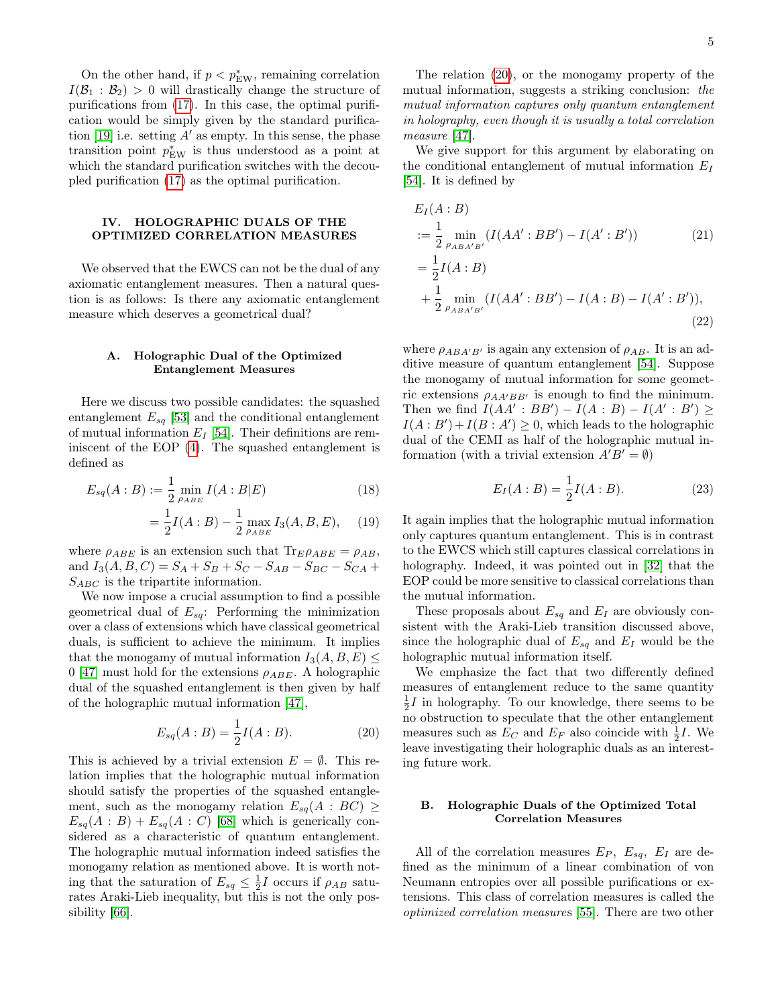On the other hand, if  $p < p_{\text{EW}}^*$ , remaining correlation  $I(\mathcal{B}_1 : \mathcal{B}_2) > 0$  will drastically change the structure of purifications from [\(17\)](#page-3-2). In this case, the optimal purification would be simply given by the standard purifica-tion [\[19\]](#page-11-3) i.e. setting  $A'$  as empty. In this sense, the phase transition point  $p_{\text{EW}}^*$  is thus understood as a point at which the standard purification switches with the decoupled purification [\(17\)](#page-3-2) as the optimal purification.

# <span id="page-4-0"></span>IV. HOLOGRAPHIC DUALS OF THE OPTIMIZED CORRELATION MEASURES

We observed that the EWCS can not be the dual of any axiomatic entanglement measures. Then a natural question is as follows: Is there any axiomatic entanglement measure which deserves a geometrical dual?

### A. Holographic Dual of the Optimized Entanglement Measures

Here we discuss two possible candidates: the squashed entanglement  $E_{sq}$  [\[53\]](#page-11-21) and the conditional entanglement of mutual information  $E_I$  [\[54\]](#page-11-22). Their definitions are reminiscent of the EOP [\(4\)](#page-1-2). The squashed entanglement is defined as

$$
E_{sq}(A:B) := \frac{1}{2} \min_{\rho_{ABE}} I(A:B|E)
$$
 (18)

$$
= \frac{1}{2}I(A:B) - \frac{1}{2} \max_{\rho_{ABE}} I_3(A,B,E), \quad (19)
$$

where  $\rho_{ABE}$  is an extension such that  $\text{Tr}_{E}\rho_{ABE} = \rho_{AB}$ , and  $I_3(A, B, C) = S_A + S_B + S_C - S_{AB} - S_{BC} - S_{CA} +$  $S_{ABC}$  is the tripartite information.

We now impose a crucial assumption to find a possible geometrical dual of  $E_{sq}$ : Performing the minimization over a class of extensions which have classical geometrical duals, is sufficient to achieve the minimum. It implies that the monogamy of mutual information  $I_3(A, B, E) \leq$ 0 [\[47\]](#page-11-15) must hold for the extensions  $\rho_{ABE}$ . A holographic dual of the squashed entanglement is then given by half of the holographic mutual information [\[47\]](#page-11-15),

<span id="page-4-1"></span>
$$
E_{sq}(A:B) = \frac{1}{2}I(A:B). \tag{20}
$$

This is achieved by a trivial extension  $E = \emptyset$ . This relation implies that the holographic mutual information should satisfy the properties of the squashed entanglement, such as the monogamy relation  $E_{sq}(A : BC) \geq$  $E_{sq}(A : B) + E_{sq}(A : C)$  [\[68\]](#page-12-10) which is generically considered as a characteristic of quantum entanglement. The holographic mutual information indeed satisfies the monogamy relation as mentioned above. It is worth noting that the saturation of  $E_{sq} \leq \frac{1}{2}I$  occurs if  $\rho_{AB}$  saturates Araki-Lieb inequality, but this is not the only possibility [\[66\]](#page-12-8).

The relation [\(20\)](#page-4-1), or the monogamy property of the mutual information, suggests a striking conclusion: the mutual information captures only quantum entanglement in holography, even though it is usually a total correlation measure [\[47\]](#page-11-15).

We give support for this argument by elaborating on the conditional entanglement of mutual information  $E_I$ [\[54\]](#page-11-22). It is defined by

<span id="page-4-2"></span>
$$
E_I(A:B)
$$
  
\n
$$
:= \frac{1}{2} \min_{\rho_{ABA'B'}} (I(AA':BB') - I(A':B'))
$$
\n
$$
= \frac{1}{2}I(A:B)
$$
\n
$$
+ \frac{1}{2} \min_{\rho_{ABA'B'}} (I(AA':BB') - I(A:B) - I(A':B')),
$$
\n(22)

where  $\rho_{ABA'B'}$  is again any extension of  $\rho_{AB}$ . It is an additive measure of quantum entanglement [\[54\]](#page-11-22). Suppose the monogamy of mutual information for some geometric extensions  $\rho_{AA'BB'}$  is enough to find the minimum. Then we find  $I(AA' : BB') - I(A : B) - I(A' : B') \ge$  $I(A : B') + I(B : A') \geq 0$ , which leads to the holographic dual of the CEMI as half of the holographic mutual information (with a trivial extension  $A'B' = \emptyset$ )

$$
E_I(A:B) = \frac{1}{2}I(A:B).
$$
 (23)

It again implies that the holographic mutual information only captures quantum entanglement. This is in contrast to the EWCS which still captures classical correlations in holography. Indeed, it was pointed out in [\[32\]](#page-11-26) that the EOP could be more sensitive to classical correlations than the mutual information.

These proposals about  $E_{sq}$  and  $E_I$  are obviously consistent with the Araki-Lieb transition discussed above, since the holographic dual of  $E_{sq}$  and  $E_I$  would be the holographic mutual information itself.

We emphasize the fact that two differently defined measures of entanglement reduce to the same quantity  $\frac{1}{2}I$  in holography. To our knowledge, there seems to be no obstruction to speculate that the other entanglement measures such as  $E_C$  and  $E_F$  also coincide with  $\frac{1}{2}I$ . We leave investigating their holographic duals as an interesting future work.

# B. Holographic Duals of the Optimized Total Correlation Measures

All of the correlation measures  $E_P$ ,  $E_{sq}$ ,  $E_I$  are defined as the minimum of a linear combination of von Neumann entropies over all possible purifications or extensions. This class of correlation measures is called the optimized correlation measures [\[55\]](#page-11-23). There are two other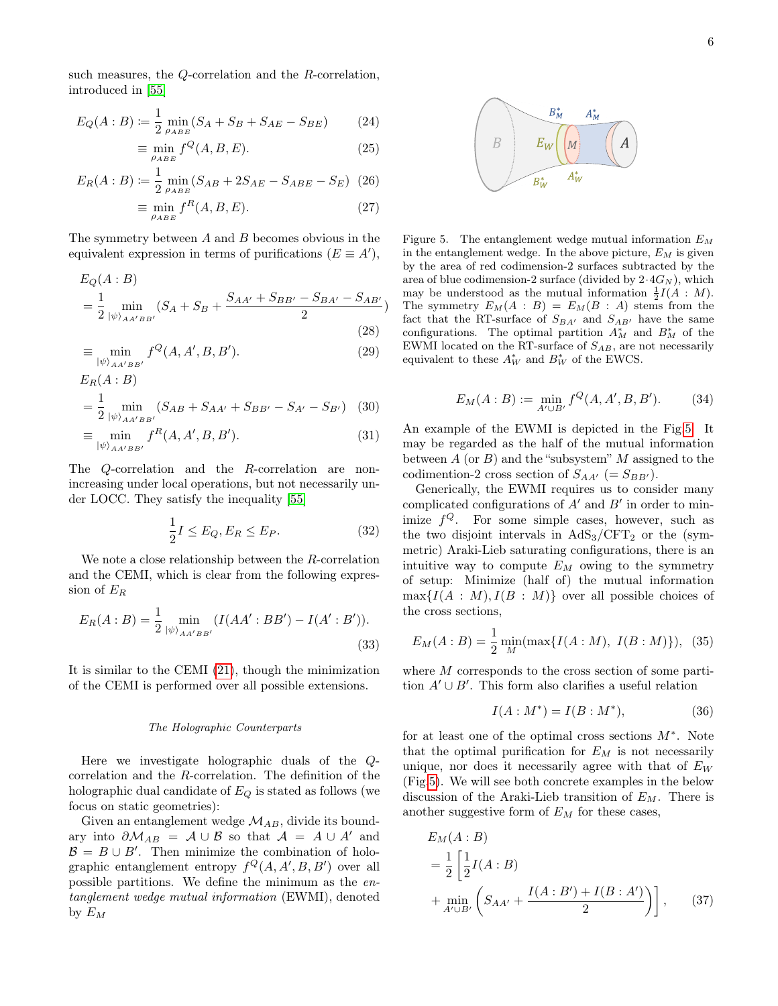such measures, the Q-correlation and the R-correlation, introduced in [\[55\]](#page-11-23)

$$
E_Q(A:B) := \frac{1}{2} \min_{\rho_{ABE}} (S_A + S_B + S_{AE} - S_{BE})
$$
 (24)

$$
\equiv \min_{\rho_{ABE}} f^Q(A, B, E). \tag{25}
$$

$$
E_R(A:B) := \frac{1}{2} \min_{\rho_{ABE}} (S_{AB} + 2S_{AE} - S_{ABE} - S_E) \tag{26}
$$

$$
\equiv \min_{\rho_{ABE}} f^R(A, B, E). \tag{27}
$$

The symmetry between  $A$  and  $B$  becomes obvious in the equivalent expression in terms of purifications  $(E \equiv A')$ ,

$$
E_Q(A:B)
$$
  
=  $\frac{1}{2} \min_{|\psi\rangle_{AA'BB'}} (S_A + S_B + \frac{S_{AA'} + S_{BB'} - S_{BA'} - S_{AB'}}{2})$   
(28)

$$
\equiv \min_{|\psi\rangle_{AA'BB'}} f^Q(A, A', B, B'). \tag{29}
$$

$$
= \frac{1}{2} \min_{|\psi\rangle_{AA'BB'}} (S_{AB} + S_{AA'} + S_{BB'} - S_{A'} - S_{B'}) \quad (30)
$$

 $E_R(A:B)$ 

$$
\equiv \min_{|\psi\rangle_{AA'BB'}} f^R(A, A', B, B'). \tag{31}
$$

The Q-correlation and the R-correlation are nonincreasing under local operations, but not necessarily under LOCC. They satisfy the inequality [\[55\]](#page-11-23)

<span id="page-5-3"></span>
$$
\frac{1}{2}I \le E_Q, E_R \le E_P. \tag{32}
$$

We note a close relationship between the R-correlation and the CEMI, which is clear from the following expression of  $E_R$ 

$$
E_R(A:B) = \frac{1}{2} \min_{|\psi\rangle_{AA'BB'}} (I(AA':BB') - I(A':B')).
$$
\n(33)

It is similar to the CEMI [\(21\)](#page-4-2), though the minimization of the CEMI is performed over all possible extensions.

#### The Holographic Counterparts

Here we investigate holographic duals of the Qcorrelation and the R-correlation. The definition of the holographic dual candidate of  $E_Q$  is stated as follows (we focus on static geometries):

Given an entanglement wedge  $\mathcal{M}_{AB}$ , divide its boundary into  $\partial \mathcal{M}_{AB} = \mathcal{A} \cup \mathcal{B}$  so that  $\mathcal{A} = A \cup A'$  and  $\mathcal{B} = B \cup B'$ . Then minimize the combination of holographic entanglement entropy  $f^Q(A, A', B, B')$  over all possible partitions. We define the minimum as the entanglement wedge mutual information (EWMI), denoted by  $E_M$ 



<span id="page-5-0"></span>Figure 5. The entanglement wedge mutual information  $E_M$ in the entanglement wedge. In the above picture,  $E_M$  is given by the area of red codimension-2 surfaces subtracted by the area of blue codimension-2 surface (divided by  $2.4G_N$ ), which may be understood as the mutual information  $\frac{1}{2}I(A : M)$ . The symmetry  $E_M(A : B) = E_M(B : A)$  stems from the fact that the RT-surface of  $S_{BA'}$  and  $S_{AB'}$  have the same configurations. The optimal partition  $A_M^*$  and  $B_M^*$  of the EWMI located on the RT-surface of  $S_{AB}$ , are not necessarily equivalent to these  $A_W^*$  and  $B_W^*$  of the EWCS.

$$
E_M(A:B) := \min_{A' \cup B'} f^Q(A, A', B, B').
$$
 (34)

An example of the EWMI is depicted in the Fig[.5.](#page-5-0) It may be regarded as the half of the mutual information between  $A$  (or  $B$ ) and the "subsystem" M assigned to the codimention-2 cross section of  $S_{AA'}$  (=  $S_{BB'}$ ).

Generically, the EWMI requires us to consider many complicated configurations of  $A'$  and  $B'$  in order to minimize  $f^Q$ . For some simple cases, however, such as the two disjoint intervals in  $AdS_3/CFT_2$  or the (symmetric) Araki-Lieb saturating configurations, there is an intuitive way to compute  $E_M$  owing to the symmetry of setup: Minimize (half of) the mutual information  $\max\{I(A: M), I(B: M)\}\$  over all possible choices of the cross sections,

<span id="page-5-4"></span><span id="page-5-2"></span>
$$
E_M(A:B) = \frac{1}{2} \min_M(\max\{I(A:M), I(B:M)\}), \quad (35)
$$

where M corresponds to the cross section of some partition  $A' \cup B'$ . This form also clarifies a useful relation

<span id="page-5-1"></span>
$$
I(A: M^*) = I(B: M^*), \tag{36}
$$

for at least one of the optimal cross sections  $M^*$ . Note that the optimal purification for  $E_M$  is not necessarily unique, nor does it necessarily agree with that of  $E_W$ (Fig[.5\)](#page-5-0). We will see both concrete examples in the below discussion of the Araki-Lieb transition of  $E_M$ . There is another suggestive form of  $E_M$  for these cases,

$$
E_M(A:B)
$$
  
=  $\frac{1}{2} \left[ \frac{1}{2} I(A:B) + \min_{A' \cup B'} \left( S_{AA'} + \frac{I(A:B') + I(B:A')}{2} \right) \right],$  (37)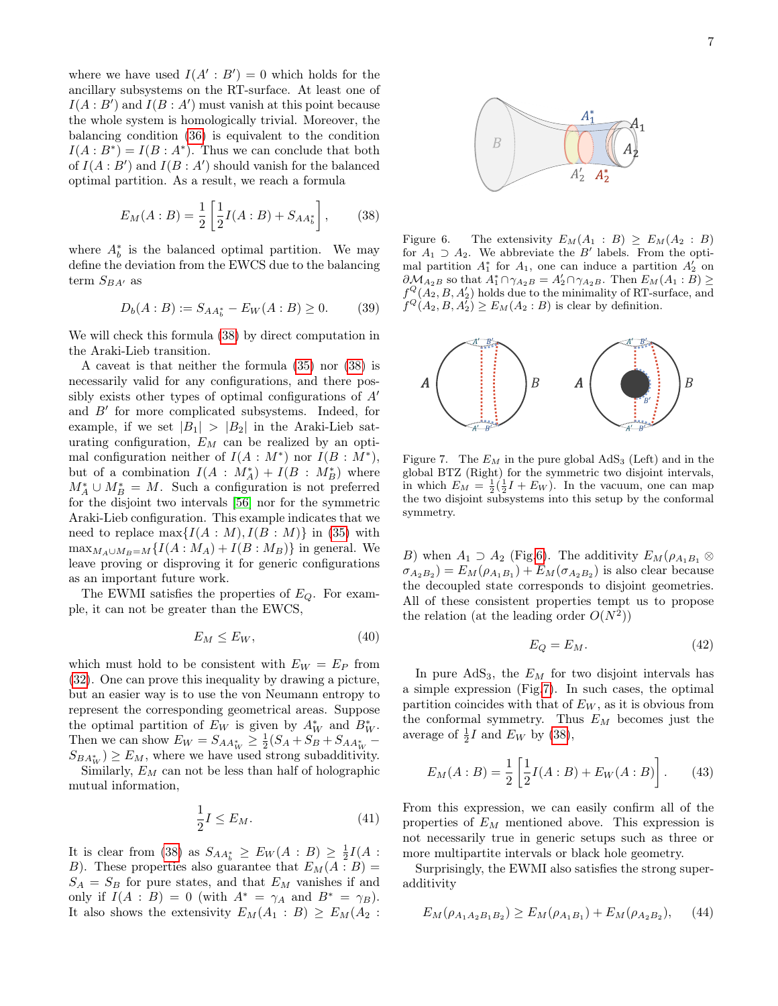where we have used  $I(A' : B') = 0$  which holds for the ancillary subsystems on the RT-surface. At least one of  $I(A : B')$  and  $I(B : A')$  must vanish at this point because the whole system is homologically trivial. Moreover, the balancing condition [\(36\)](#page-5-1) is equivalent to the condition  $I(A:B^*)=I(B:A^*)$ . Thus we can conclude that both of  $I(A : B')$  and  $I(B : A')$  should vanish for the balanced optimal partition. As a result, we reach a formula

<span id="page-6-0"></span>
$$
E_M(A:B) = \frac{1}{2} \left[ \frac{1}{2} I(A:B) + S_{AA_b^*} \right],
$$
 (38)

where  $A_b^*$  is the balanced optimal partition. We may define the deviation from the EWCS due to the balancing term  $S_{BA'}$  as

<span id="page-6-4"></span>
$$
D_b(A:B) := S_{AA_b^*} - E_W(A:B) \ge 0. \tag{39}
$$

We will check this formula [\(38\)](#page-6-0) by direct computation in the Araki-Lieb transition.

A caveat is that neither the formula [\(35\)](#page-5-2) nor [\(38\)](#page-6-0) is necessarily valid for any configurations, and there possibly exists other types of optimal configurations of  $A'$ and  $B'$  for more complicated subsystems. Indeed, for example, if we set  $|B_1| > |B_2|$  in the Araki-Lieb saturating configuration,  $E_M$  can be realized by an optimal configuration neither of  $I(A: M^*)$  nor  $I(B: M^*),$ but of a combination  $I(A : M_A^*) + I(B : M_B^*)$  where  $M_A^* \cup M_B^* = M$ . Such a configuration is not preferred for the disjoint two intervals [\[56\]](#page-11-24) nor for the symmetric Araki-Lieb configuration. This example indicates that we need to replace  $\max\{I(A: M), I(B: M)\}\$ in [\(35\)](#page-5-2) with  $\max_{M_A \cup M_B=M} \{I(A : M_A) + I(B : M_B)\}\$ in general. We leave proving or disproving it for generic configurations as an important future work.

The EWMI satisfies the properties of  $E_Q$ . For example, it can not be greater than the EWCS,

$$
E_M \le E_W,\tag{40}
$$

which must hold to be consistent with  $E_W = E_P$  from [\(32\)](#page-5-3). One can prove this inequality by drawing a picture, but an easier way is to use the von Neumann entropy to represent the corresponding geometrical areas. Suppose the optimal partition of  $E_W$  is given by  $A_W^*$  and  $B_W^*$ . Then we can show  $E_W = S_{AA_W^*} \geq \frac{1}{2}(S_A + S_B + S_{AA_W^*} (S_{BA^*_{W}}) \geq E_M$ , where we have used strong subadditivity.

Similarly,  $E_M$  can not be less than half of holographic mutual information,

$$
\frac{1}{2}I \le E_M. \tag{41}
$$

It is clear from [\(38\)](#page-6-0) as  $S_{AA_b^*} \geq E_W(A:B) \geq \frac{1}{2}I(A:B)$ B). These properties also guarantee that  $E_M(A : B) =$  $S_A = S_B$  for pure states, and that  $E_M$  vanishes if and only if  $I(A : B) = 0$  (with  $A^* = \gamma_A$  and  $B^* = \gamma_B$ ). It also shows the extensivity  $E_M(A_1 : B) \ge E_M(A_2 :$ 



<span id="page-6-1"></span>Figure 6. The extensivity  $E_M(A_1 : B) \ge E_M(A_2 : B)$ for  $A_1 \supset A_2$ . We abbreviate the B' labels. From the optimal partition  $A_1^*$  for  $A_1$ , one can induce a partition  $A_2'$  on  $\partial M_{A_2B}$  so that  $A_1^* \cap \gamma_{A_2B} = A_2' \cap \gamma_{A_2B}$ . Then  $E_M(A_1 : B) \ge$  $f^{\mathcal{Q}}(A_2, B, A'_2)$  holds due to the minimality of RT-surface, and  $f^Q(A_2, B, A'_2) \ge E_M(A_2 : B)$  is clear by definition.



<span id="page-6-2"></span>Figure 7. The  $E_M$  in the pure global  $AdS_3$  (Left) and in the global BTZ (Right) for the symmetric two disjoint intervals, in which  $E_M = \frac{1}{2}(\frac{1}{2}I + E_W)$ . In the vacuum, one can map the two disjoint subsystems into this setup by the conformal symmetry.

B) when  $A_1 \supset A_2$  (Fig[.6\)](#page-6-1). The additivity  $E_M(\rho_{A_1B_1} \otimes$  $\sigma_{A_2B_2}$ ) =  $E_M(\rho_{A_1B_1}) + E_M(\sigma_{A_2B_2})$  is also clear because the decoupled state corresponds to disjoint geometries. All of these consistent properties tempt us to propose the relation (at the leading order  $O(N^2)$ )

$$
E_Q = E_M. \tag{42}
$$

In pure  $AdS_3$ , the  $E_M$  for two disjoint intervals has a simple expression (Fig[.7\)](#page-6-2). In such cases, the optimal partition coincides with that of  $E_W$ , as it is obvious from the conformal symmetry. Thus  $E_M$  becomes just the average of  $\frac{1}{2}I$  and  $E_W$  by [\(38\)](#page-6-0),

$$
E_M(A:B) = \frac{1}{2} \left[ \frac{1}{2} I(A:B) + E_W(A:B) \right].
$$
 (43)

From this expression, we can easily confirm all of the properties of  $E_M$  mentioned above. This expression is not necessarily true in generic setups such as three or more multipartite intervals or black hole geometry.

Surprisingly, the EWMI also satisfies the strong superadditivity

<span id="page-6-3"></span>
$$
E_M(\rho_{A_1 A_2 B_1 B_2}) \ge E_M(\rho_{A_1 B_1}) + E_M(\rho_{A_2 B_2}), \quad (44)
$$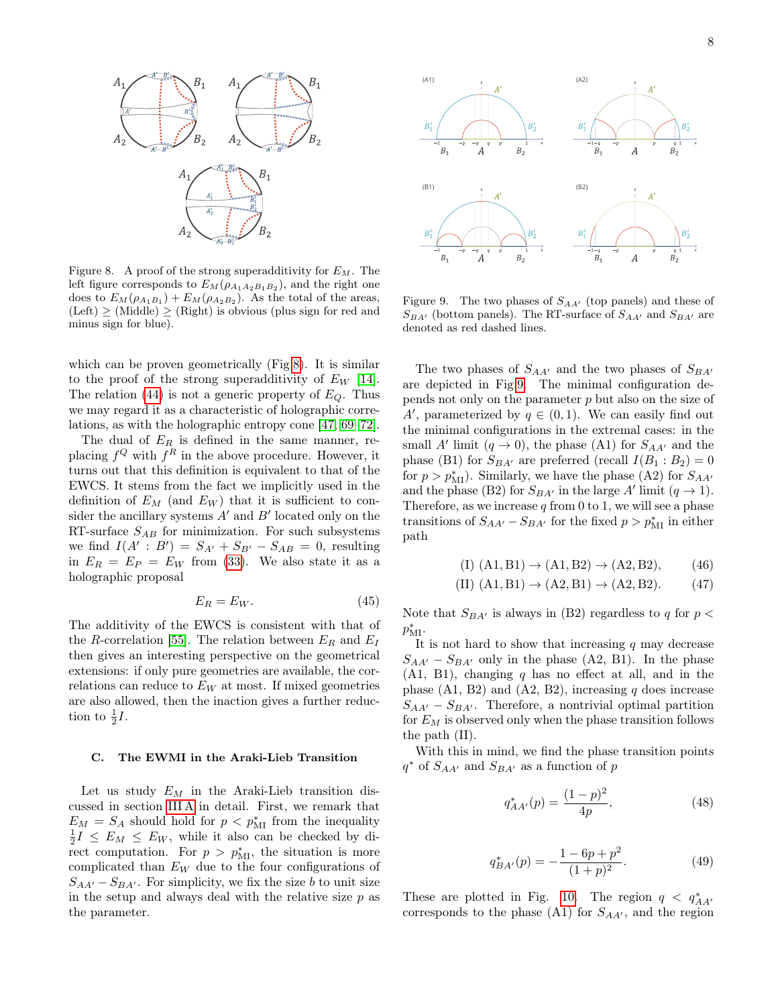

<span id="page-7-0"></span>Figure 8. A proof of the strong superadditivity for  $E_M$ . The left figure corresponds to  $E_M(\rho_{A_1A_2B_1B_2})$ , and the right one does to  $E_M(\rho_{A_1B_1}) + E_M(\rho_{A_2B_2})$ . As the total of the areas,  $(Left) \geq (Midde) \geq (Right)$  is obvious (plus sign for red and minus sign for blue).

which can be proven geometrically (Fig[.8\)](#page-7-0). It is similar to the proof of the strong superadditivity of  $E_W$  [\[14\]](#page-10-9). The relation [\(44\)](#page-6-3) is not a generic property of  $E_Q$ . Thus we may regard it as a characteristic of holographic correlations, as with the holographic entropy cone [\[47,](#page-11-15) [69–](#page-12-11)[72\]](#page-12-12).

The dual of  $E_R$  is defined in the same manner, replacing  $f^Q$  with  $f^R$  in the above procedure. However, it turns out that this definition is equivalent to that of the EWCS. It stems from the fact we implicitly used in the definition of  $E_M$  (and  $E_W$ ) that it is sufficient to consider the ancillary systems  $A'$  and  $B'$  located only on the RT-surface  $S_{AB}$  for minimization. For such subsystems we find  $I(A' : B') = S_{A'} + S_{B'} - S_{AB} = 0$ , resulting in  $E_R = E_P = E_W$  from [\(33\)](#page-5-4). We also state it as a holographic proposal

$$
E_R = E_W. \t\t(45)
$$

The additivity of the EWCS is consistent with that of the R-correlation [\[55\]](#page-11-23). The relation between  $E_R$  and  $E_I$ then gives an interesting perspective on the geometrical extensions: if only pure geometries are available, the correlations can reduce to  $E_W$  at most. If mixed geometries are also allowed, then the inaction gives a further reduction to  $\frac{1}{2}I$ .

### C. The EWMI in the Araki-Lieb Transition

Let us study  $E_M$  in the Araki-Lieb transition discussed in section [III A](#page-2-2) in detail. First, we remark that  $E_M = S_A$  should hold for  $p < p_M^*$  from the inequality  $\frac{1}{2}I \leq E_M \leq E_W$ , while it also can be checked by di-Frect computation. For  $p > p_{\text{MI}}^*$ , the situation is more complicated than  $E_W$  due to the four configurations of  $S_{AA'} - S_{BA'}$ . For simplicity, we fix the size b to unit size in the setup and always deal with the relative size  $p$  as the parameter.



<span id="page-7-1"></span>Figure 9. The two phases of  $S_{AA'}$  (top panels) and these of  $S_{BA'}$  (bottom panels). The RT-surface of  $S_{AA'}$  and  $S_{BA'}$  are denoted as red dashed lines.

The two phases of  $S_{AA'}$  and the two phases of  $S_{BA'}$ are depicted in Fig[.9.](#page-7-1) The minimal configuration depends not only on the parameter  $p$  but also on the size of A', parameterized by  $q \in (0,1)$ . We can easily find out the minimal configurations in the extremal cases: in the small A' limit  $(q \to 0)$ , the phase (A1) for  $S_{AA'}$  and the phase (B1) for  $S_{BA'}$  are preferred (recall  $I(B_1 : B_2) = 0$ for  $p > p_{\text{MI}}^*$ ). Similarly, we have the phase (A2) for  $S_{AA'}$ and the phase (B2) for  $S_{BA'}$  in the large A' limit  $(q \rightarrow 1)$ . Therefore, as we increase  $q$  from 0 to 1, we will see a phase transitions of  $S_{AA'} - S_{BA'}$  for the fixed  $p > p_{\text{MI}}^*$  in either path

$$
(I) (A1, B1) \to (A1, B2) \to (A2, B2), \tag{46}
$$

(II) 
$$
(A1, B1) \rightarrow (A2, B1) \rightarrow (A2, B2)
$$
. (47)

Note that  $S_{BA'}$  is always in (B2) regardless to q for  $p <$  $p_{\text{MI}}^*$ .

It is not hard to show that increasing  $q$  may decrease  $S_{AA'} - S_{BA'}$  only in the phase (A2, B1). In the phase  $(A1, B1)$ , changing q has no effect at all, and in the phase  $(A1, B2)$  and  $(A2, B2)$ , increasing q does increase  $S_{AA'} - S_{BA'}$ . Therefore, a nontrivial optimal partition for  $E_M$  is observed only when the phase transition follows the path (II).

With this in mind, we find the phase transition points  $q^*$  of  $S_{AA'}$  and  $S_{BA'}$  as a function of p

$$
q_{AA'}^*(p) = \frac{(1-p)^2}{4p},\tag{48}
$$

$$
q_{BA'}^*(p) = -\frac{1 - 6p + p^2}{(1 + p)^2}.
$$
 (49)

These are plotted in Fig. [10.](#page-8-0) The region  $q < q^*_{AA'}$ corresponds to the phase  $(A1)$  for  $S_{AA'}$ , and the region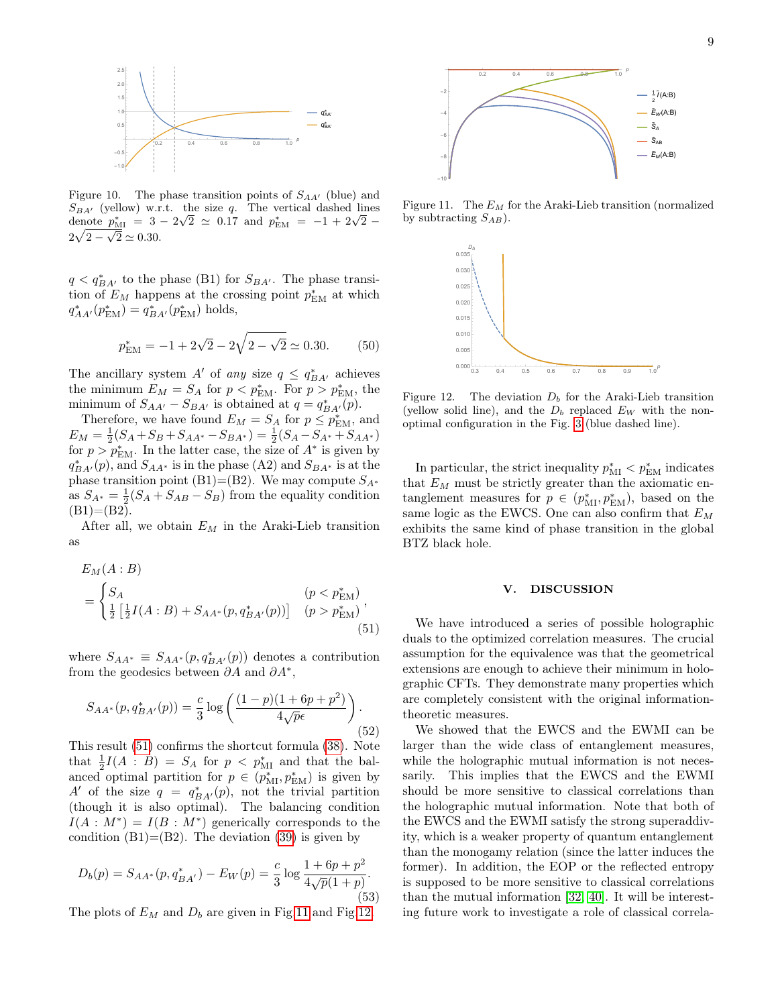

<span id="page-8-0"></span>Figure 10. The phase transition points of  $S_{AA'}$  (blue) and  $S_{BA'}$  (yellow) w.r.t. the size q. The vertical dashed lines  $S_{BA'}$  (yellow) w.r.t. the size q. The vertical dashed lines<br>denote  $p_{\text{MI}}^* = 3 - 2\sqrt{2} \simeq 0.17$  and  $p_{\text{EM}}^* = -1 + 2\sqrt{2} 2\sqrt{2-\sqrt{2}} \simeq 0.30.$ 

 $q < q_{BA'}^*$  to the phase (B1) for  $S_{BA'}$ . The phase transition of  $E_M$  happens at the crossing point  $p_{\text{EM}}^*$  at which  $q_{AA'}^*(p_{\text{EM}}^*) = q_{BA'}^*(p_{\text{EM}}^*)$  holds,

$$
p_{\text{EM}}^* = -1 + 2\sqrt{2} - 2\sqrt{2 - \sqrt{2}} \simeq 0.30. \tag{50}
$$

The ancillary system A' of any size  $q \leq q_{BA'}^*$  achieves the minimum  $E_M = S_A$  for  $p < p_{\text{EM}}^*$ . For  $p > p_{\text{EM}}^*$ , the minimum of  $S_{AA'} - S_{BA'}$  is obtained at  $q = q_{BA'}^*(p)$ .

Therefore, we have found  $E_M = S_A$  for  $p \le p_{\text{EM}}^*$ , and  $E_M = \frac{1}{2}(S_A + S_B + S_{AA^*} - S_{BA^*}) = \frac{1}{2}(S_A - S_{A^*} + S_{AA^*})$ for  $p > p_{\text{EM}}^*$ . In the latter case, the size of  $A^*$  is given by  $q_{BA'}^*(p)$ , and  $S_{AA^*}$  is in the phase (A2) and  $S_{BA^*}$  is at the phase transition point (B1)=(B2). We may compute  $S_{A^*}$ as  $S_{A^*} = \frac{1}{2}(S_A + S_{AB} - S_B)$  from the equality condition  $(B1)=(B2).$ 

After all, we obtain  $E_M$  in the Araki-Lieb transition as

$$
E_M(A:B)
$$
  
= 
$$
\begin{cases} S_A & (p < p_{\text{EM}}^*) \\ \frac{1}{2} \left[ \frac{1}{2} I(A:B) + S_{AA^*}(p, q_{BA'}^*(p)) \right] & (p > p_{\text{EM}}^*) \end{cases}
$$
, (51)

where  $S_{AA^*} \equiv S_{AA^*}(p, q_{BA'}^*(p))$  denotes a contribution from the geodesics between  $\partial A$  and  $\partial A^*$ ,

$$
S_{AA^*}(p, q_{BA'}^*(p)) = \frac{c}{3} \log \left( \frac{(1-p)(1+6p+p^2)}{4\sqrt{p}\epsilon} \right). \tag{52}
$$

This result [\(51\)](#page-8-1) confirms the shortcut formula [\(38\)](#page-6-0). Note that  $\frac{1}{2}I(A : B) = S_A$  for  $p < p_M^*$  and that the balanced optimal partition for  $p \in (p_{\text{MI}}^*, p_{\text{EM}}^*)$  is given by A' of the size  $q = q_{BA'}^*(p)$ , not the trivial partition (though it is also optimal). The balancing condition  $I(A: M^*) = I(B: M^*)$  generically corresponds to the condition  $(B1)=(B2)$ . The deviation  $(39)$  is given by

$$
D_b(p) = S_{AA^*}(p, q_{BA'}^*) - E_W(p) = \frac{c}{3} \log \frac{1 + 6p + p^2}{4\sqrt{p}(1+p)}.
$$
\n(53)

The plots of  $E_M$  and  $D_b$  are given in Fig[.11](#page-8-2) and Fig[.12.](#page-8-3)



Figure 11. The  $E_M$  for the Araki-Lieb transition (normalized by subtracting  $S_{AB}$ ).

<span id="page-8-2"></span>

<span id="page-8-3"></span>Figure 12. The deviation  $D_b$  for the Araki-Lieb transition (yellow solid line), and the  $D_b$  replaced  $E_W$  with the nonoptimal configuration in the Fig. [3](#page-2-1) (blue dashed line).

In particular, the strict inequality  $p_{\text{MI}}^* < p_{\text{EM}}^*$  indicates that  $E_M$  must be strictly greater than the axiomatic entanglement measures for  $p \in (p_{\text{MI}}^*, p_{\text{EM}}^*)$ , based on the same logic as the EWCS. One can also confirm that  $E_M$ exhibits the same kind of phase transition in the global BTZ black hole.

### V. DISCUSSION

<span id="page-8-1"></span>We have introduced a series of possible holographic duals to the optimized correlation measures. The crucial assumption for the equivalence was that the geometrical extensions are enough to achieve their minimum in holographic CFTs. They demonstrate many properties which are completely consistent with the original informationtheoretic measures.

We showed that the EWCS and the EWMI can be larger than the wide class of entanglement measures, while the holographic mutual information is not necessarily. This implies that the EWCS and the EWMI should be more sensitive to classical correlations than the holographic mutual information. Note that both of the EWCS and the EWMI satisfy the strong superaddivity, which is a weaker property of quantum entanglement than the monogamy relation (since the latter induces the former). In addition, the EOP or the reflected entropy is supposed to be more sensitive to classical correlations than the mutual information [\[32,](#page-11-26) [40\]](#page-11-10). It will be interesting future work to investigate a role of classical correla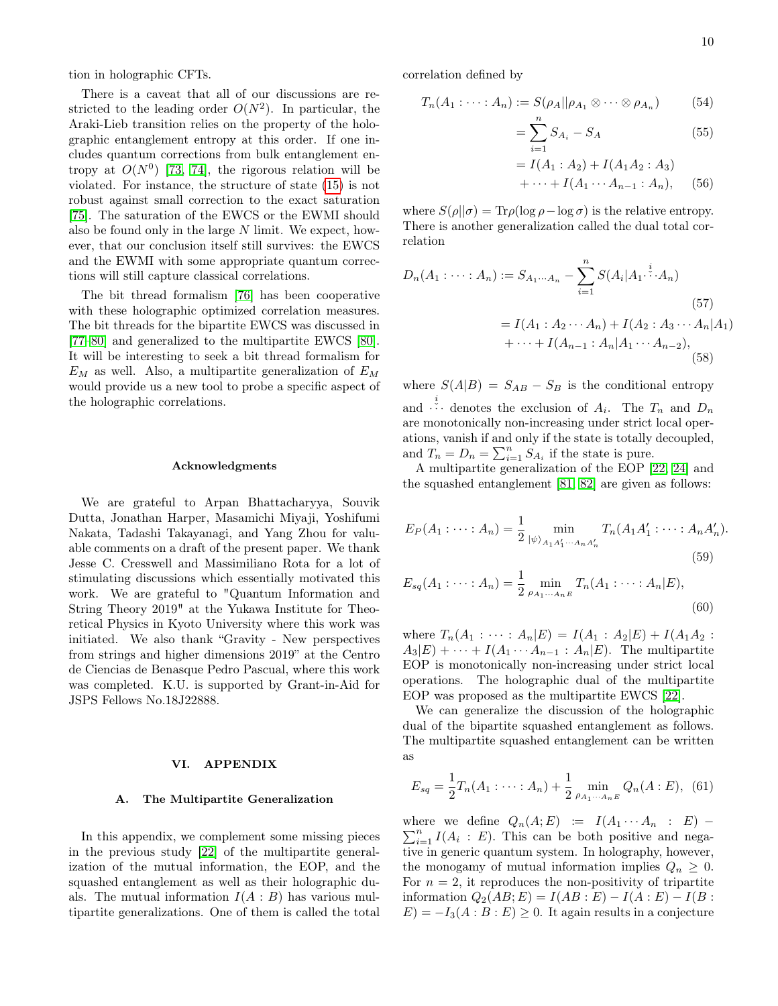tion in holographic CFTs.

There is a caveat that all of our discussions are restricted to the leading order  $O(N^2)$ . In particular, the Araki-Lieb transition relies on the property of the holographic entanglement entropy at this order. If one includes quantum corrections from bulk entanglement entropy at  $O(N^0)$  [\[73,](#page-12-13) [74\]](#page-12-14), the rigorous relation will be violated. For instance, the structure of state [\(15\)](#page-3-3) is not robust against small correction to the exact saturation [\[75\]](#page-12-15). The saturation of the EWCS or the EWMI should also be found only in the large N limit. We expect, however, that our conclusion itself still survives: the EWCS and the EWMI with some appropriate quantum corrections will still capture classical correlations.

The bit thread formalism [\[76\]](#page-12-16) has been cooperative with these holographic optimized correlation measures. The bit threads for the bipartite EWCS was discussed in [\[77–](#page-12-17)[80\]](#page-12-18) and generalized to the multipartite EWCS [\[80\]](#page-12-18). It will be interesting to seek a bit thread formalism for  $E_M$  as well. Also, a multipartite generalization of  $E_M$ would provide us a new tool to probe a specific aspect of the holographic correlations.

### Acknowledgments

We are grateful to Arpan Bhattacharyya, Souvik Dutta, Jonathan Harper, Masamichi Miyaji, Yoshifumi Nakata, Tadashi Takayanagi, and Yang Zhou for valuable comments on a draft of the present paper. We thank Jesse C. Cresswell and Massimiliano Rota for a lot of stimulating discussions which essentially motivated this work. We are grateful to "Quantum Information and String Theory 2019" at the Yukawa Institute for Theoretical Physics in Kyoto University where this work was initiated. We also thank "Gravity - New perspectives from strings and higher dimensions 2019" at the Centro de Ciencias de Benasque Pedro Pascual, where this work was completed. K.U. is supported by Grant-in-Aid for JSPS Fellows No.18J22888.

#### VI. APPENDIX

#### A. The Multipartite Generalization

In this appendix, we complement some missing pieces in the previous study [\[22\]](#page-11-6) of the multipartite generalization of the mutual information, the EOP, and the squashed entanglement as well as their holographic duals. The mutual information  $I(A : B)$  has various multipartite generalizations. One of them is called the total correlation defined by

$$
T_n(A_1 : \dots : A_n) := S(\rho_A || \rho_{A_1} \otimes \dots \otimes \rho_{A_n}) \tag{54}
$$

$$
=\sum_{i=1}^{n} S_{A_i} - S_A \tag{55}
$$

$$
= I(A_1 : A_2) + I(A_1 A_2 : A_3)
$$
  
+ ... + I(A\_1 ... A\_{n-1} : A\_n), (56)

where  $S(\rho||\sigma) = \text{Tr}\rho(\log \rho - \log \sigma)$  is the relative entropy. There is another generalization called the dual total correlation

$$
D_n(A_1: \dots: A_n) := S_{A_1 \dots A_n} - \sum_{i=1}^n S(A_i | A_1 \cdot \dots \cdot A_n)
$$
  
=  $I(A_1: A_2 \dots A_n) + I(A_2: A_3 \dots A_n | A_1)$   
+  $\dots + I(A_{n-1}: A_n | A_1 \dots A_{n-2})$ , (58)

where  $S(A|B) = S_{AB} - S_B$  is the conditional entropy and  $\vdots$  denotes the exclusion of  $A_i$ . The  $T_n$  and  $D_n$ are monotonically non-increasing under strict local operations, vanish if and only if the state is totally decoupled, and  $T_n = D_n = \sum_{i=1}^n S_{A_i}$  if the state is pure.

A multipartite generalization of the EOP [\[22,](#page-11-6) [24\]](#page-11-8) and the squashed entanglement [\[81,](#page-12-19) [82\]](#page-12-20) are given as follows:

<span id="page-9-0"></span>
$$
E_P(A_1: \dots: A_n) = \frac{1}{2} \min_{|\psi\rangle_{A_1 A'_1 \dots A_n A'_n}} T_n(A_1 A'_1: \dots: A_n A'_n).
$$
\n(59)

$$
E_{sq}(A_1 : \dots : A_n) = \frac{1}{2} \min_{\rho_{A_1 \dots A_n E}} T_n(A_1 : \dots : A_n | E),
$$
\n(60)

where  $T_n(A_1 : \cdots : A_n | E) = I(A_1 : A_2 | E) + I(A_1 A_2 :$  $A_3|E) + \cdots + I(A_1 \cdots A_{n-1} : A_n|E)$ . The multipartite EOP is monotonically non-increasing under strict local operations. The holographic dual of the multipartite EOP was proposed as the multipartite EWCS [\[22\]](#page-11-6).

We can generalize the discussion of the holographic dual of the bipartite squashed entanglement as follows. The multipartite squashed entanglement can be written as

$$
E_{sq} = \frac{1}{2}T_n(A_1 : \dots : A_n) + \frac{1}{2} \min_{\rho_{A_1 \dots A_n E}} Q_n(A : E), \tag{61}
$$

 $\sum_{i=1}^{n} I(A_i : E)$ . This can be both positive and negawhere we define  $Q_n(A; E) := I(A_1 \cdots A_n : E)$  tive in generic quantum system. In holography, however, the monogamy of mutual information implies  $Q_n \geq 0$ . For  $n = 2$ , it reproduces the non-positivity of tripartite information  $Q_2(AB; E) = I(AB : E) - I(A : E) - I(B : E)$  $E = -I_3(A : B : E) \geq 0$ . It again results in a conjecture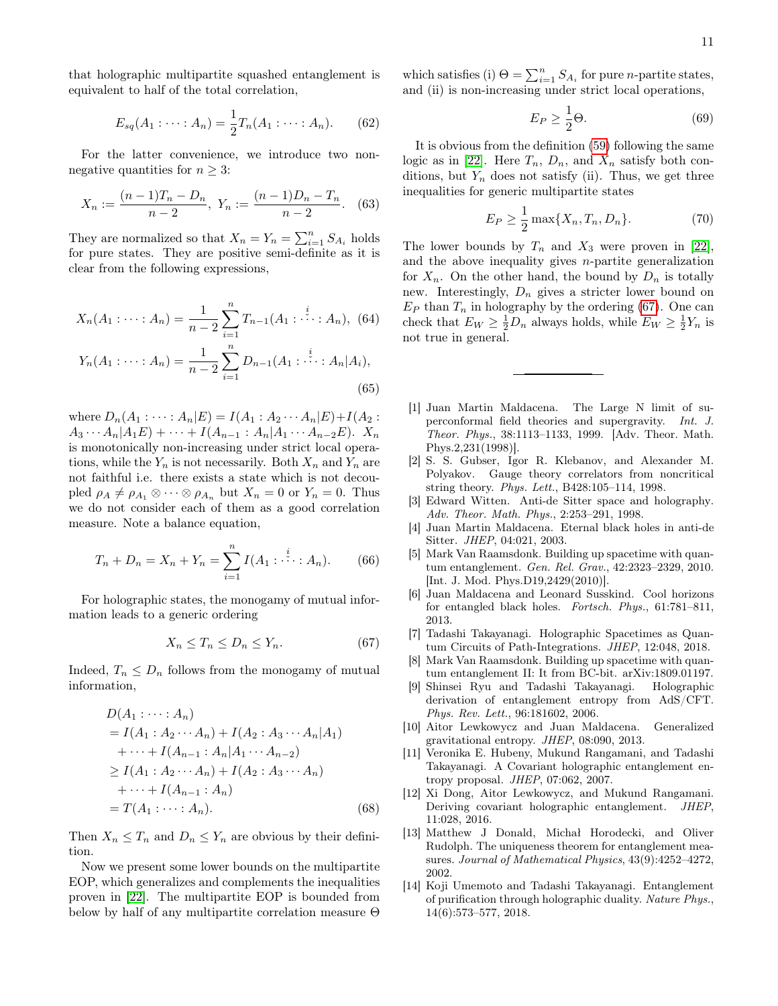that holographic multipartite squashed entanglement is equivalent to half of the total correlation,

$$
E_{sq}(A_1 : \dots : A_n) = \frac{1}{2} T_n(A_1 : \dots : A_n).
$$
 (62)

For the latter convenience, we introduce two nonnegative quantities for  $n \geq 3$ :

$$
X_n := \frac{(n-1)T_n - D_n}{n-2}, \ Y_n := \frac{(n-1)D_n - T_n}{n-2}.
$$
 (63)

They are normalized so that  $X_n = Y_n = \sum_{i=1}^n S_{A_i}$  holds for pure states. They are positive semi-definite as it is clear from the following expressions,

$$
X_n(A_1 : \dots : A_n) = \frac{1}{n-2} \sum_{i=1}^n T_{n-1}(A_1 : \dots : A_n), \quad (64)
$$

$$
Y_n(A_1 : \dots : A_n) = \frac{1}{n-2} \sum_{i=1}^n D_{n-1}(A_1 : \dots : A_n | A_i), \quad (65)
$$

where  $D_n(A_1 : \cdots : A_n | E) = I(A_1 : A_2 \cdots A_n | E) + I(A_2 :$  $A_3 \cdots A_n | A_1 E$  +  $\cdots$  +  $I(A_{n-1} : A_n | A_1 \cdots A_{n-2} E)$ .  $X_n$ is monotonically non-increasing under strict local operations, while the  $Y_n$  is not necessarily. Both  $X_n$  and  $Y_n$  are not faithful i.e. there exists a state which is not decoupled  $\rho_A \neq \rho_{A_1} \otimes \cdots \otimes \rho_{A_n}$  but  $X_n = 0$  or  $Y_n = 0$ . Thus we do not consider each of them as a good correlation measure. Note a balance equation,

$$
T_n + D_n = X_n + Y_n = \sum_{i=1}^n I(A_1 : \cdots : A_n).
$$
 (66)

For holographic states, the monogamy of mutual information leads to a generic ordering

<span id="page-10-10"></span>
$$
X_n \le T_n \le D_n \le Y_n. \tag{67}
$$

Indeed,  $T_n \leq D_n$  follows from the monogamy of mutual information,

$$
D(A_1 : \cdots : A_n)
$$
  
=  $I(A_1 : A_2 \cdots A_n) + I(A_2 : A_3 \cdots A_n | A_1)$   
+  $\cdots + I(A_{n-1} : A_n | A_1 \cdots A_{n-2})$   
 $\geq I(A_1 : A_2 \cdots A_n) + I(A_2 : A_3 \cdots A_n)$   
+  $\cdots + I(A_{n-1} : A_n)$   
=  $T(A_1 : \cdots : A_n)$ . (68)

Then  $X_n \leq T_n$  and  $D_n \leq Y_n$  are obvious by their definition.

Now we present some lower bounds on the multipartite EOP, which generalizes and complements the inequalities proven in [\[22\]](#page-11-6). The multipartite EOP is bounded from below by half of any multipartite correlation measure Θ

which satisfies (i)  $\Theta = \sum_{i=1}^{n} S_{A_i}$  for pure *n*-partite states, and (ii) is non-increasing under strict local operations,

$$
E_P \ge \frac{1}{2}\Theta. \tag{69}
$$

It is obvious from the definition [\(59\)](#page-9-0) following the same logic as in [\[22\]](#page-11-6). Here  $T_n$ ,  $D_n$ , and  $X_n$  satisfy both conditions, but  $Y_n$  does not satisfy (ii). Thus, we get three inequalities for generic multipartite states

$$
E_P \ge \frac{1}{2} \max\{X_n, T_n, D_n\}.
$$
 (70)

The lower bounds by  $T_n$  and  $X_3$  were proven in [\[22\]](#page-11-6), and the above inequality gives  $n$ -partite generalization for  $X_n$ . On the other hand, the bound by  $D_n$  is totally new. Interestingly,  $D_n$  gives a stricter lower bound on  $E_P$  than  $T_n$  in holography by the ordering [\(67\)](#page-10-10). One can check that  $E_W \geq \frac{1}{2}D_n$  always holds, while  $E_W \geq \frac{1}{2}Y_n$  is not true in general.

- <span id="page-10-0"></span>[1] Juan Martin Maldacena. The Large N limit of superconformal field theories and supergravity. Int. J. Theor. Phys., 38:1113–1133, 1999. [Adv. Theor. Math. Phys.2,231(1998)].
- [2] S. S. Gubser, Igor R. Klebanov, and Alexander M. Polyakov. Gauge theory correlators from noncritical string theory. Phys. Lett., B428:105–114, 1998.
- <span id="page-10-1"></span>[3] Edward Witten. Anti-de Sitter space and holography. Adv. Theor. Math. Phys., 2:253–291, 1998.
- <span id="page-10-2"></span>[4] Juan Martin Maldacena. Eternal black holes in anti-de Sitter. JHEP, 04:021, 2003.
- [5] Mark Van Raamsdonk. Building up spacetime with quantum entanglement. Gen. Rel. Grav., 42:2323–2329, 2010. [Int. J. Mod. Phys.D19,2429(2010)].
- [6] Juan Maldacena and Leonard Susskind. Cool horizons for entangled black holes. Fortsch. Phys., 61:781–811, 2013.
- [7] Tadashi Takayanagi. Holographic Spacetimes as Quantum Circuits of Path-Integrations. JHEP, 12:048, 2018.
- <span id="page-10-3"></span>[8] Mark Van Raamsdonk. Building up spacetime with quantum entanglement II: It from BC-bit. arXiv:1809.01197.
- <span id="page-10-4"></span>[9] Shinsei Ryu and Tadashi Takayanagi. Holographic derivation of entanglement entropy from AdS/CFT. Phys. Rev. Lett., 96:181602, 2006.
- <span id="page-10-5"></span>[10] Aitor Lewkowycz and Juan Maldacena. Generalized gravitational entropy. JHEP, 08:090, 2013.
- <span id="page-10-6"></span>[11] Veronika E. Hubeny, Mukund Rangamani, and Tadashi Takayanagi. A Covariant holographic entanglement entropy proposal. JHEP, 07:062, 2007.
- <span id="page-10-7"></span>[12] Xi Dong, Aitor Lewkowycz, and Mukund Rangamani. Deriving covariant holographic entanglement. JHEP, 11:028, 2016.
- <span id="page-10-8"></span>[13] Matthew J Donald, Michał Horodecki, and Oliver Rudolph. The uniqueness theorem for entanglement measures. Journal of Mathematical Physics, 43(9):4252–4272, 2002.
- <span id="page-10-9"></span>[14] Koji Umemoto and Tadashi Takayanagi. Entanglement of purification through holographic duality. Nature Phys., 14(6):573–577, 2018.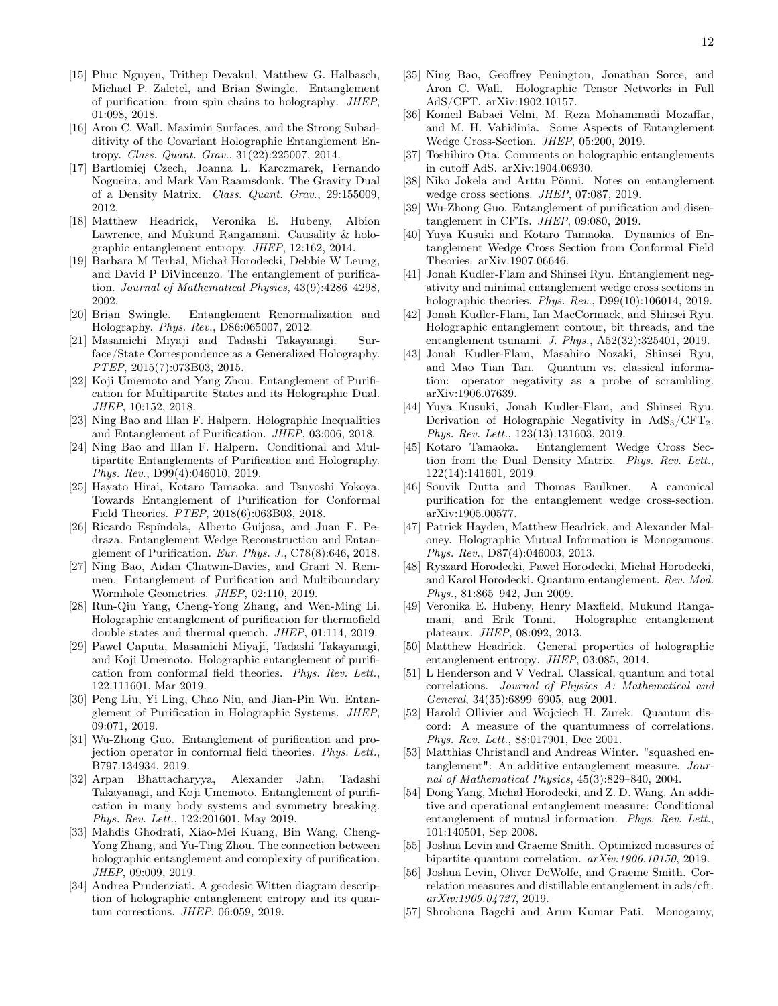- <span id="page-11-0"></span>[15] Phuc Nguyen, Trithep Devakul, Matthew G. Halbasch, Michael P. Zaletel, and Brian Swingle. Entanglement of purification: from spin chains to holography. JHEP, 01:098, 2018.
- <span id="page-11-1"></span>[16] Aron C. Wall. Maximin Surfaces, and the Strong Subadditivity of the Covariant Holographic Entanglement Entropy. Class. Quant. Grav., 31(22):225007, 2014.
- [17] Bartlomiej Czech, Joanna L. Karczmarek, Fernando Nogueira, and Mark Van Raamsdonk. The Gravity Dual of a Density Matrix. Class. Quant. Grav., 29:155009, 2012.
- <span id="page-11-2"></span>[18] Matthew Headrick, Veronika E. Hubeny, Albion Lawrence, and Mukund Rangamani. Causality & holographic entanglement entropy. JHEP, 12:162, 2014.
- <span id="page-11-3"></span>[19] Barbara M Terhal, Michał Horodecki, Debbie W Leung, and David P DiVincenzo. The entanglement of purification. Journal of Mathematical Physics, 43(9):4286–4298, 2002.
- <span id="page-11-4"></span>[20] Brian Swingle. Entanglement Renormalization and Holography. Phys. Rev., D86:065007, 2012.
- <span id="page-11-5"></span>[21] Masamichi Miyaji and Tadashi Takayanagi. Surface/State Correspondence as a Generalized Holography. PTEP, 2015(7):073B03, 2015.
- <span id="page-11-6"></span>[22] Koji Umemoto and Yang Zhou. Entanglement of Purification for Multipartite States and its Holographic Dual. JHEP, 10:152, 2018.
- <span id="page-11-7"></span>[23] Ning Bao and Illan F. Halpern. Holographic Inequalities and Entanglement of Purification. JHEP, 03:006, 2018.
- <span id="page-11-8"></span>[24] Ning Bao and Illan F. Halpern. Conditional and Multipartite Entanglements of Purification and Holography. Phys. Rev., D99(4):046010, 2019.
- <span id="page-11-9"></span>[25] Hayato Hirai, Kotaro Tamaoka, and Tsuyoshi Yokoya. Towards Entanglement of Purification for Conformal Field Theories. PTEP, 2018(6):063B03, 2018.
- [26] Ricardo Espíndola, Alberto Guijosa, and Juan F. Pedraza. Entanglement Wedge Reconstruction and Entanglement of Purification. Eur. Phys. J., C78(8):646, 2018.
- [27] Ning Bao, Aidan Chatwin-Davies, and Grant N. Remmen. Entanglement of Purification and Multiboundary Wormhole Geometries. JHEP, 02:110, 2019.
- [28] Run-Qiu Yang, Cheng-Yong Zhang, and Wen-Ming Li. Holographic entanglement of purification for thermofield double states and thermal quench. JHEP, 01:114, 2019.
- [29] Pawel Caputa, Masamichi Miyaji, Tadashi Takayanagi, and Koji Umemoto. Holographic entanglement of purification from conformal field theories. Phys. Rev. Lett., 122:111601, Mar 2019.
- [30] Peng Liu, Yi Ling, Chao Niu, and Jian-Pin Wu. Entanglement of Purification in Holographic Systems. JHEP, 09:071, 2019.
- [31] Wu-Zhong Guo. Entanglement of purification and projection operator in conformal field theories. Phys. Lett., B797:134934, 2019.
- <span id="page-11-26"></span>[32] Arpan Bhattacharyya, Alexander Jahn, Tadashi Takayanagi, and Koji Umemoto. Entanglement of purification in many body systems and symmetry breaking. Phys. Rev. Lett., 122:201601, May 2019.
- [33] Mahdis Ghodrati, Xiao-Mei Kuang, Bin Wang, Cheng-Yong Zhang, and Yu-Ting Zhou. The connection between holographic entanglement and complexity of purification. JHEP, 09:009, 2019.
- [34] Andrea Prudenziati. A geodesic Witten diagram description of holographic entanglement entropy and its quantum corrections. JHEP, 06:059, 2019.
- [35] Ning Bao, Geoffrey Penington, Jonathan Sorce, and Aron C. Wall. Holographic Tensor Networks in Full AdS/CFT. arXiv:1902.10157.
- [36] Komeil Babaei Velni, M. Reza Mohammadi Mozaffar, and M. H. Vahidinia. Some Aspects of Entanglement Wedge Cross-Section. JHEP, 05:200, 2019.
- [37] Toshihiro Ota. Comments on holographic entanglements in cutoff AdS. arXiv:1904.06930.
- [38] Niko Jokela and Arttu Pönni. Notes on entanglement wedge cross sections. JHEP, 07:087, 2019.
- [39] Wu-Zhong Guo. Entanglement of purification and disentanglement in CFTs. JHEP, 09:080, 2019.
- <span id="page-11-10"></span>[40] Yuya Kusuki and Kotaro Tamaoka. Dynamics of Entanglement Wedge Cross Section from Conformal Field Theories. arXiv:1907.06646.
- <span id="page-11-11"></span>[41] Jonah Kudler-Flam and Shinsei Ryu. Entanglement negativity and minimal entanglement wedge cross sections in holographic theories. Phys. Rev., D99(10):106014, 2019.
- [42] Jonah Kudler-Flam, Ian MacCormack, and Shinsei Ryu. Holographic entanglement contour, bit threads, and the entanglement tsunami. J. Phys., A52(32):325401, 2019.
- [43] Jonah Kudler-Flam, Masahiro Nozaki, Shinsei Ryu, and Mao Tian Tan. Quantum vs. classical information: operator negativity as a probe of scrambling. arXiv:1906.07639.
- <span id="page-11-12"></span>[44] Yuya Kusuki, Jonah Kudler-Flam, and Shinsei Ryu. Derivation of Holographic Negativity in  $AdS_3/CFT_2$ . Phys. Rev. Lett., 123(13):131603, 2019.
- <span id="page-11-13"></span>[45] Kotaro Tamaoka. Entanglement Wedge Cross Section from the Dual Density Matrix. Phys. Rev. Lett., 122(14):141601, 2019.
- <span id="page-11-14"></span>[46] Souvik Dutta and Thomas Faulkner. A canonical purification for the entanglement wedge cross-section. arXiv:1905.00577.
- <span id="page-11-15"></span>[47] Patrick Hayden, Matthew Headrick, and Alexander Maloney. Holographic Mutual Information is Monogamous. Phys. Rev., D87(4):046003, 2013.
- <span id="page-11-16"></span>[48] Ryszard Horodecki, Paweł Horodecki, Michał Horodecki, and Karol Horodecki. Quantum entanglement. Rev. Mod. Phys., 81:865–942, Jun 2009.
- <span id="page-11-17"></span>[49] Veronika E. Hubeny, Henry Maxfield, Mukund Rangamani, and Erik Tonni. Holographic entanglement plateaux. JHEP, 08:092, 2013.
- <span id="page-11-18"></span>[50] Matthew Headrick. General properties of holographic entanglement entropy. JHEP, 03:085, 2014.
- <span id="page-11-19"></span>[51] L Henderson and V Vedral. Classical, quantum and total correlations. Journal of Physics A: Mathematical and General, 34(35):6899–6905, aug 2001.
- <span id="page-11-20"></span>[52] Harold Ollivier and Wojciech H. Zurek. Quantum discord: A measure of the quantumness of correlations. Phys. Rev. Lett., 88:017901, Dec 2001.
- <span id="page-11-21"></span>[53] Matthias Christandl and Andreas Winter. "squashed entanglement": An additive entanglement measure. Journal of Mathematical Physics, 45(3):829–840, 2004.
- <span id="page-11-22"></span>[54] Dong Yang, Michał Horodecki, and Z. D. Wang. An additive and operational entanglement measure: Conditional entanglement of mutual information. Phys. Rev. Lett., 101:140501, Sep 2008.
- <span id="page-11-23"></span>[55] Joshua Levin and Graeme Smith. Optimized measures of bipartite quantum correlation. arXiv:1906.10150, 2019.
- <span id="page-11-24"></span>[56] Joshua Levin, Oliver DeWolfe, and Graeme Smith. Correlation measures and distillable entanglement in ads/cft. arXiv:1909.04727, 2019.
- <span id="page-11-25"></span>[57] Shrobona Bagchi and Arun Kumar Pati. Monogamy,